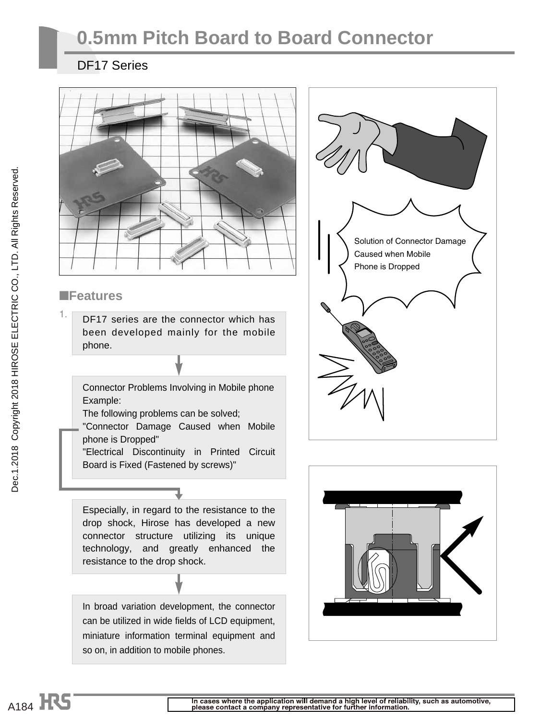# **0.5mm Pitch Board to Board Connector**

#### DF17 Series



#### ■**Features**

1. DF17 series are the connector which has been developed mainly for the mobile phone.

#### Connector Problems Involving in Mobile phone Example:

The following problems can be solved;

"Connector Damage Caused when Mobile phone is Dropped"

"Electrical Discontinuity in Printed Circuit Board is Fixed (Fastened by screws)"

Especially, in regard to the resistance to the drop shock, Hirose has developed a new connector structure utilizing its unique technology, and greatly enhanced the resistance to the drop shock.

In broad variation development, the connector can be utilized in wide fields of LCD equipment, miniature information terminal equipment and so on, in addition to mobile phones.



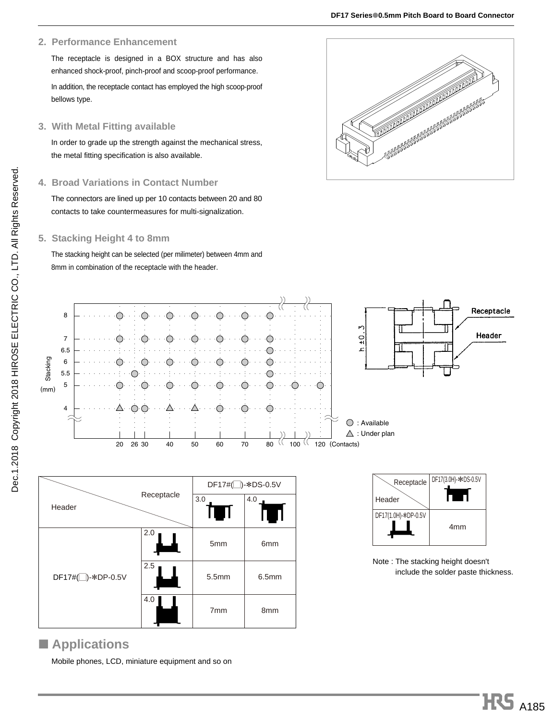#### **2. Performance Enhancement**

The receptacle is designed in a BOX structure and has also enhanced shock-proof, pinch-proof and scoop-proof performance. In addition, the receptacle contact has employed the high scoop-proof bellows type.

#### **3. With Metal Fitting available**

In order to grade up the strength against the mechanical stress, the metal fitting specification is also available.

#### **4. Broad Variations in Contact Number**

The connectors are lined up per 10 contacts between 20 and 80 contacts to take countermeasures for multi-signalization.

#### **5. Stacking Height 4 to 8mm**

The stacking height can be selected (per milimeter) between 4mm and 8mm in combination of the receptacle with the header.





#### ■ **Applications**

Mobile phones, LCD, miniature equipment and so on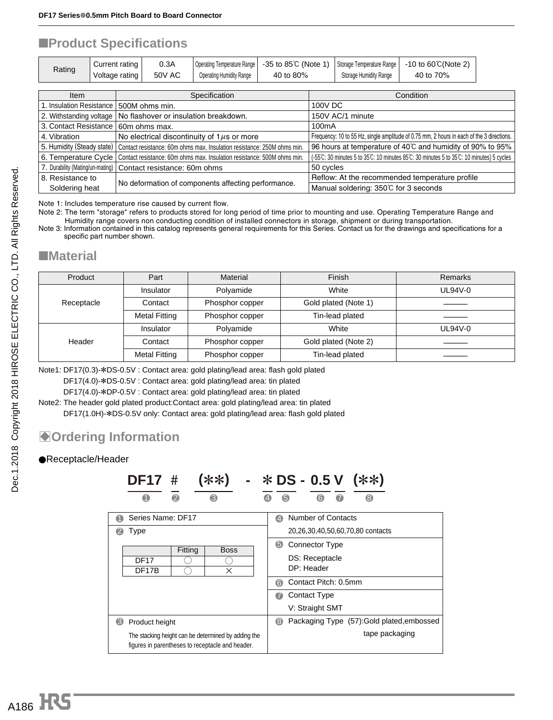#### ■**Product Specifications**

| Rating | Current rating | 0.3A          |                                 | Operating Temperature Range   -35 to 85℃ (Note 1)   Storage Temperature Range   -10 to 60℃ (Note 2) |                               |           |
|--------|----------------|---------------|---------------------------------|-----------------------------------------------------------------------------------------------------|-------------------------------|-----------|
|        | Voltage rating | <b>50V AC</b> | <b>Operating Humidity Range</b> | 40 to 80%                                                                                           | <b>Storage Humidity Range</b> | 40 to 70% |

| Item                                                                  | Specification                                                           | Condition                                                                                 |
|-----------------------------------------------------------------------|-------------------------------------------------------------------------|-------------------------------------------------------------------------------------------|
| 1. Insulation Resistance                                              | 500M ohms min.                                                          | 100V DC                                                                                   |
| 2. Withstanding voltage                                               | No flashover or insulation breakdown.                                   | 150V AC/1 minute                                                                          |
| 3. Contact Resistance                                                 | 60m ohms max.                                                           | 100 <sub>m</sub> A                                                                        |
| 4. Vibration                                                          | No electrical discontinuity of $1\mu s$ or more                         | Frequency: 10 to 55 Hz, single amplitude of 0.75 mm, 2 hours in each of the 3 directions. |
| 5. Humidity (Steady state)                                            | Contact resistance: 60m ohms max. Insulation resistance: 250M ohms min. | 96 hours at temperature of 40°C and humidity of 90% to 95%                                |
| 6. Temperature Cycle                                                  | Contact resistance: 60m ohms max. Insulation resistance: 500M ohms min. | (-55°C: 30 minutes 5 to 35°C: 10 minutes 85°C: 30 minutes 5 to 35°C: 10 minutes) 5 cycles |
|                                                                       | 7. Durability (Mating/un-mating)   Contact resistance: 60m ohms         | 50 cycles                                                                                 |
| 8. Resistance to                                                      |                                                                         | Reflow: At the recommended temperature profile                                            |
| No deformation of components affecting performance.<br>Soldering heat |                                                                         | Manual soldering: 350℃ for 3 seconds                                                      |

Note 1: Includes temperature rise caused by current flow.

Note 2: The term "storage" refers to products stored for long period of time prior to mounting and use. Operating Temperature Range and Humidity range covers non conducting condition of installed connectors in storage, shipment or during transportation.

Note 3: Information contained in this catalog represents general requirements for this Series. Contact us for the drawings and specifications for a specific part number shown.

#### ■**Material**

| Product    | Part                 | Material        | Finish               | Remarks   |
|------------|----------------------|-----------------|----------------------|-----------|
| Insulator  |                      | Polyamide       | White                | $UL94V-0$ |
| Receptacle | Contact              | Phosphor copper | Gold plated (Note 1) |           |
|            | <b>Metal Fitting</b> | Phosphor copper | Tin-lead plated      |           |
|            | Insulator            | Polyamide       | White                | $UL94V-0$ |
| Header     | Contact              | Phosphor copper | Gold plated (Note 2) |           |
|            | <b>Metal Fitting</b> | Phosphor copper | Tin-lead plated      |           |

Note1: DF17(0.3)-\*DS-0.5V : Contact area: gold plating/lead area: flash gold plated

DF17(4.0)-\*DS-0.5V : Contact area: gold plating/lead area: tin plated

DF17(4.0)-\*DP-0.5V : Contact area: gold plating/lead area: tin plated

Note2: The header gold plated product:Contact area: gold plating/lead area: tin plated DF17(1.0H)-\*DS-0.5V only: Contact area: gold plating/lead area: flash gold plated

### $\bullet$  **Ordering Information**

#### ●Receptacle/Header

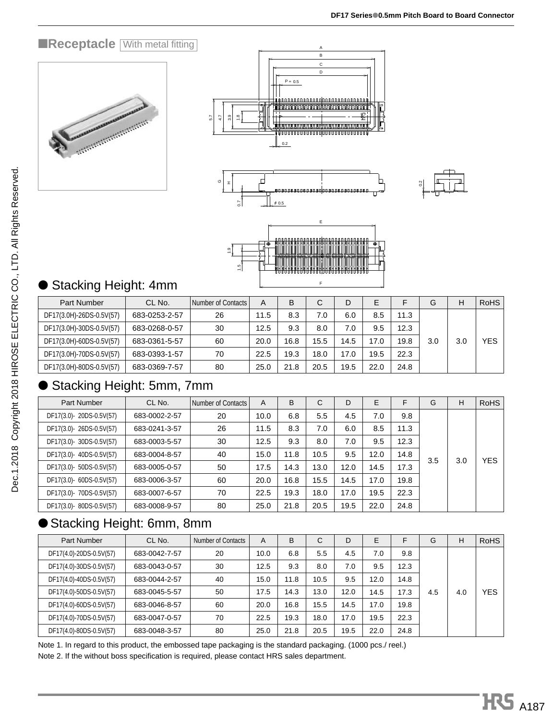#### **EReceptacle With metal fitting**











## **Stacking Height: 4mm**

| <b>Part Number</b>       | CL No.        | Number of Contacts | A    | B    | ◡    | D    | E.   |      | G   | Н   | <b>RoHS</b> |
|--------------------------|---------------|--------------------|------|------|------|------|------|------|-----|-----|-------------|
| DF17(3.0H)-26DS-0.5V(57) | 683-0253-2-57 | 26                 | 11.5 | 8.3  | 7.0  | 6.0  | 8.5  | 11.3 |     |     |             |
| DF17(3.0H)-30DS-0.5V(57) | 683-0268-0-57 | 30                 | 12.5 | 9.3  | 8.0  | 7.0  | 9.5  | 12.3 |     |     |             |
| DF17(3.0H)-60DS-0.5V(57) | 683-0361-5-57 | 60                 | 20.0 | 16.8 | 15.5 | 14.5 | 17.0 | 19.8 | 3.0 | 3.0 | <b>YES</b>  |
| DF17(3.0H)-70DS-0.5V(57) | 683-0393-1-57 | 70                 | 22.5 | 19.3 | 18.0 | 17.0 | 19.5 | 22.3 |     |     |             |
| DF17(3.0H)-80DS-0.5V(57) | 683-0369-7-57 | 80                 | 25.0 | 21.8 | 20.5 | 19.5 | 22.0 | 24.8 |     |     |             |

### Stacking Height: 5mm, 7mm

|                                                                                                                                                                                                             |               | 1.5                |      |      |              |      |      |      |     |     |             |
|-------------------------------------------------------------------------------------------------------------------------------------------------------------------------------------------------------------|---------------|--------------------|------|------|--------------|------|------|------|-----|-----|-------------|
|                                                                                                                                                                                                             |               |                    |      |      | E            |      |      |      |     |     |             |
| ● Stacking Height: 4mm                                                                                                                                                                                      |               |                    |      |      |              |      |      |      |     |     |             |
| <b>Part Number</b>                                                                                                                                                                                          | CL No.        | Number of Contacts | A    | B    | C            | D    | E    | F    | G   | H   | <b>RoHS</b> |
| DF17(3.0H)-26DS-0.5V(57)                                                                                                                                                                                    | 683-0253-2-57 | 26                 | 11.5 | 8.3  | 7.0          | 6.0  | 8.5  | 11.3 |     |     |             |
| DF17(3.0H)-30DS-0.5V(57)                                                                                                                                                                                    | 683-0268-0-57 | 30                 | 12.5 | 9.3  | 8.0          | 7.0  | 9.5  | 12.3 |     |     |             |
| DF17(3.0H)-60DS-0.5V(57)                                                                                                                                                                                    | 683-0361-5-57 | 60                 | 20.0 | 16.8 | 15.5         | 14.5 | 17.0 | 19.8 | 3.0 | 3.0 | <b>YES</b>  |
| DF17(3.0H)-70DS-0.5V(57)                                                                                                                                                                                    | 683-0393-1-57 | 70                 | 22.5 | 19.3 | 18.0         | 17.0 | 19.5 | 22.3 |     |     |             |
| DF17(3.0H)-80DS-0.5V(57)                                                                                                                                                                                    | 683-0369-7-57 | 80                 | 25.0 | 21.8 | 20.5         | 19.5 | 22.0 | 24.8 |     |     |             |
| ● Stacking Height: 5mm, 7mm                                                                                                                                                                                 |               |                    |      |      |              |      |      |      |     |     |             |
| Part Number                                                                                                                                                                                                 | CL No.        | Number of Contacts | Α    | B    | $\mathsf{C}$ | D    | E    | F    | G   | н   | <b>RoHS</b> |
| DF17(3.0)-20DS-0.5V(57)                                                                                                                                                                                     | 683-0002-2-57 | 20                 | 10.0 | 6.8  | 5.5          | 4.5  | 7.0  | 9.8  |     |     |             |
| DF17(3.0)-26DS-0.5V(57)                                                                                                                                                                                     | 683-0241-3-57 | 26                 | 11.5 | 8.3  | 7.0          | 6.0  | 8.5  | 11.3 |     |     |             |
| DF17(3.0)- 30DS-0.5V(57)                                                                                                                                                                                    | 683-0003-5-57 | 30                 | 12.5 | 9.3  | 8.0          | 7.0  | 9.5  | 12.3 |     |     |             |
| DF17(3.0)-40DS-0.5V(57)                                                                                                                                                                                     | 683-0004-8-57 | 40                 | 15.0 | 11.8 | 10.5         | 9.5  | 12.0 | 14.8 |     |     | <b>YES</b>  |
| DF17(3.0)- 50DS-0.5V(57)                                                                                                                                                                                    | 683-0005-0-57 | 50                 | 17.5 | 14.3 | 13.0         | 12.0 | 14.5 | 17.3 | 3.5 | 3.0 |             |
| DF17(3.0)- 60DS-0.5V(57)                                                                                                                                                                                    | 683-0006-3-57 | 60                 | 20.0 | 16.8 | 15.5         | 14.5 | 17.0 | 19.8 |     |     |             |
| DF17(3.0)-70DS-0.5V(57)                                                                                                                                                                                     | 683-0007-6-57 | 70                 | 22.5 | 19.3 | 18.0         | 17.0 | 19.5 | 22.3 |     |     |             |
| DF17(3.0)-80DS-0.5V(57)                                                                                                                                                                                     | 683-0008-9-57 | 80                 | 25.0 | 21.8 | 20.5         | 19.5 | 22.0 | 24.8 |     |     |             |
| ● Stacking Height: 6mm, 8mm                                                                                                                                                                                 |               |                    |      |      |              |      |      |      |     |     |             |
| Part Number                                                                                                                                                                                                 | CL No.        | Number of Contacts | Α    | B    | C            | D    | E    | F    | G   | H   | <b>RoHS</b> |
| DF17(4.0)-20DS-0.5V(57)                                                                                                                                                                                     | 683-0042-7-57 | 20                 | 10.0 | 6.8  | 5.5          | 4.5  | 7.0  | 9.8  |     |     |             |
| DF17(4.0)-30DS-0.5V(57)                                                                                                                                                                                     | 683-0043-0-57 | 30                 | 12.5 | 9.3  | 8.0          | 7.0  | 9.5  | 12.3 |     |     |             |
| DF17(4.0)-40DS-0.5V(57)                                                                                                                                                                                     | 683-0044-2-57 | 40                 | 15.0 | 11.8 | 10.5         | 9.5  | 12.0 | 14.8 |     |     |             |
| DF17(4.0)-50DS-0.5V(57)                                                                                                                                                                                     | 683-0045-5-57 | 50                 | 17.5 | 14.3 | 13.0         | 12.0 | 14.5 | 17.3 | 4.5 | 4.0 | <b>YES</b>  |
| DF17(4.0)-60DS-0.5V(57)                                                                                                                                                                                     | 683-0046-8-57 | 60                 | 20.0 | 16.8 | 15.5         | 14.5 | 17.0 | 19.8 |     |     |             |
| DF17(4.0)-70DS-0.5V(57)                                                                                                                                                                                     | 683-0047-0-57 | 70                 | 22.5 | 19.3 | 18.0         | 17.0 | 19.5 | 22.3 |     |     |             |
| DF17(4.0)-80DS-0.5V(57)                                                                                                                                                                                     | 683-0048-3-57 | 80                 | 25.0 | 21.8 | 20.5         | 19.5 | 22.0 | 24.8 |     |     |             |
| Note 1. In regard to this product, the embossed tape packaging is the standard packaging. (1000 pcs./ reel.)<br>Note 2. If the without boss specification is required, please contact HRS sales department. |               |                    |      |      |              |      |      |      |     |     |             |

# ● Stacking Height: 6mm, 8mm

| Part Number             | CL No.        | <b>Number of Contacts</b> | A    | B    | $\sim$<br>◡ | D    | E    | F    | G   | н   | <b>RoHS</b> |
|-------------------------|---------------|---------------------------|------|------|-------------|------|------|------|-----|-----|-------------|
| DF17(4.0)-20DS-0.5V(57) | 683-0042-7-57 | 20                        | 10.0 | 6.8  | 5.5         | 4.5  | 7.0  | 9.8  |     |     |             |
| DF17(4.0)-30DS-0.5V(57) | 683-0043-0-57 | 30                        | 12.5 | 9.3  | 8.0         | 7.0  | 9.5  | 12.3 |     |     |             |
| DF17(4.0)-40DS-0.5V(57) | 683-0044-2-57 | 40                        | 15.0 | 11.8 | 10.5        | 9.5  | 12.0 | 14.8 |     |     |             |
| DF17(4.0)-50DS-0.5V(57) | 683-0045-5-57 | 50                        | 17.5 | 14.3 | 13.0        | 12.0 | 14.5 | 17.3 | 4.5 | 4.0 | <b>YES</b>  |
| DF17(4.0)-60DS-0.5V(57) | 683-0046-8-57 | 60                        | 20.0 | 16.8 | 15.5        | 14.5 | 17.0 | 19.8 |     |     |             |
| DF17(4.0)-70DS-0.5V(57) | 683-0047-0-57 | 70                        | 22.5 | 19.3 | 18.0        | 17.0 | 19.5 | 22.3 |     |     |             |
| DF17(4.0)-80DS-0.5V(57) | 683-0048-3-57 | 80                        | 25.0 | 21.8 | 20.5        | 19.5 | 22.0 | 24.8 |     |     |             |

Note 1. In regard to this product, the embossed tape packaging is the standard packaging. (1000 pcs./ reel.)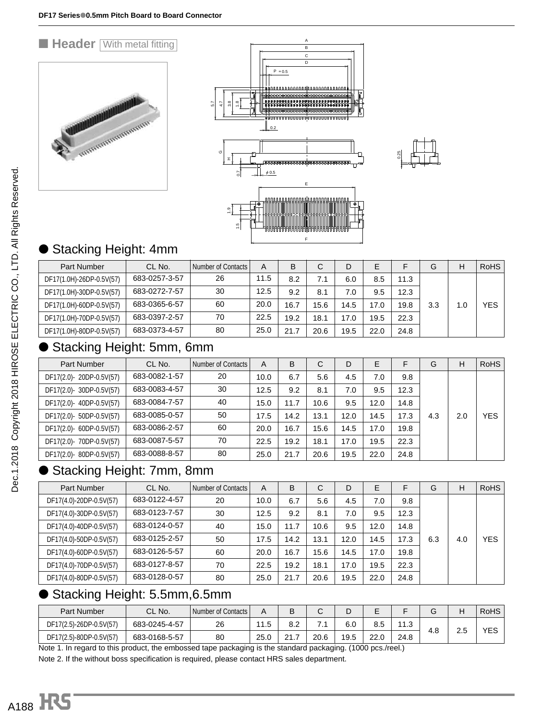#### **E Header With metal fitting** A B  $\overline{c}$ D  $P = 0.5$ nannannannannannannannan 00000000000<br>00000000000 5.7 4.7 .<br>ო  $\frac{80}{11}$ A WWW.WWW.WWW.WWW.WWW  $0.2$ 0.25 H0.7  $\phi$  0.5 E <u>ო</u> 1.5

# Stacking Height: 4mm

| <b>Part Number</b>       | CL No.        | Number of Contacts I | A    | B    |      | D    | E    |      | G   | H   | <b>RoHS</b> |
|--------------------------|---------------|----------------------|------|------|------|------|------|------|-----|-----|-------------|
| DF17(1.0H)-26DP-0.5V(57) | 683-0257-3-57 | 26                   | 11.5 | 8.2  | 7.1  | 6.0  | 8.5  | 11.3 |     |     |             |
| DF17(1.0H)-30DP-0.5V(57) | 683-0272-7-57 | 30                   | 12.5 | 9.2  | 8.1  | 7.0  | 9.5  | 12.3 |     |     |             |
| DF17(1.0H)-60DP-0.5V(57) | 683-0365-6-57 | 60                   | 20.0 | 16.7 | 15.6 | 14.5 | 17.0 | 19.8 | 3.3 | 1.0 | <b>YES</b>  |
| DF17(1.0H)-70DP-0.5V(57) | 683-0397-2-57 | 70                   | 22.5 | 19.2 | 18.1 | 17.0 | 19.5 | 22.3 |     |     |             |
| DF17(1.0H)-80DP-0.5V(57) | 683-0373-4-57 | 80                   | 25.0 | 21.7 | 20.6 | 19.5 | 22.0 | 24.8 |     |     |             |

F

### ● Stacking Height: 5mm, 6mm

| Part Number              | CL No.        | Number of Contacts | A    | B    | С    | D    | E    | F    | G   | H   | <b>RoHS</b> |
|--------------------------|---------------|--------------------|------|------|------|------|------|------|-----|-----|-------------|
| DF17(2.0)-20DP-0.5V(57)  | 683-0082-1-57 | 20                 | 10.0 | 6.7  | 5.6  | 4.5  | 7.0  | 9.8  |     |     |             |
| DF17(2.0)- 30DP-0.5V(57) | 683-0083-4-57 | 30                 | 12.5 | 9.2  | 8.1  | 7.0  | 9.5  | 12.3 |     |     |             |
| DF17(2.0)- 40DP-0.5V(57) | 683-0084-7-57 | 40                 | 15.0 | 11.7 | 10.6 | 9.5  | 12.0 | 14.8 |     |     |             |
| DF17(2.0)- 50DP-0.5V(57) | 683-0085-0-57 | 50                 | 17.5 | 14.2 | 13.1 | 12.0 | 14.5 | 17.3 | 4.3 | 2.0 | <b>YES</b>  |
| DF17(2.0)- 60DP-0.5V(57) | 683-0086-2-57 | 60                 | 20.0 | 16.7 | 15.6 | 14.5 | 17.0 | 19.8 |     |     |             |
| DF17(2.0)- 70DP-0.5V(57) | 683-0087-5-57 | 70                 | 22.5 | 19.2 | 18.1 | 17.0 | 19.5 | 22.3 |     |     |             |
| DF17(2.0)-80DP-0.5V(57)  | 683-0088-8-57 | 80                 | 25.0 | 21.7 | 20.6 | 19.5 | 22.0 | 24.8 |     |     |             |

### Stacking Height: 7mm, 8mm

| Part Number             | CL No.        | Number of Contacts | A    | B    | C    | D    | E    | F    | G   | н   | <b>RoHS</b> |
|-------------------------|---------------|--------------------|------|------|------|------|------|------|-----|-----|-------------|
| DF17(4.0)-20DP-0.5V(57) | 683-0122-4-57 | 20                 | 10.0 | 6.7  | 5.6  | 4.5  | 7.0  | 9.8  |     |     |             |
| DF17(4.0)-30DP-0.5V(57) | 683-0123-7-57 | 30                 | 12.5 | 9.2  | 8.1  | 7.0  | 9.5  | 12.3 |     |     |             |
| DF17(4.0)-40DP-0.5V(57) | 683-0124-0-57 | 40                 | 15.0 | 11.7 | 10.6 | 9.5  | 12.0 | 14.8 |     |     |             |
| DF17(4.0)-50DP-0.5V(57) | 683-0125-2-57 | 50                 | 17.5 | 14.2 | 13.1 | 12.0 | 14.5 | 17.3 | 6.3 | 4.0 | <b>YES</b>  |
| DF17(4.0)-60DP-0.5V(57) | 683-0126-5-57 | 60                 | 20.0 | 16.7 | 15.6 | 14.5 | 17.0 | 19.8 |     |     |             |
| DF17(4.0)-70DP-0.5V(57) | 683-0127-8-57 | 70                 | 22.5 | 19.2 | 18.1 | 17.0 | 19.5 | 22.3 |     |     |             |
| DF17(4.0)-80DP-0.5V(57) | 683-0128-0-57 | 80                 | 25.0 | 21.7 | 20.6 | 19.5 | 22.0 | 24.8 |     |     |             |

### ● Stacking Height: 5.5mm,6.5mm

| <b>Part Number</b>                                                                                                    | CL No.        | Number of Contacts |      | D<br>B   |      | ◡    | -    |             |     | Н   | <b>RoHS</b> |
|-----------------------------------------------------------------------------------------------------------------------|---------------|--------------------|------|----------|------|------|------|-------------|-----|-----|-------------|
| DF17(2.5)-26DP-0.5V(57)                                                                                               | 683-0245-4-57 | 26                 | 1.5  | 8.2      | . .  | 6.0  | 8.5  | 112<br>ن. ا |     |     | YES         |
| DF17(2.5)-80DP-0.5V(57)                                                                                               | 683-0168-5-57 | 80                 | 25.0 | $\Omega$ | 20.6 | 19.5 | 22.0 | 24.8        | 4.C | د.ء |             |
| 0 امتحار مجاوره 14000 به معاشر من استخلال معاشر المعاشر من المعاشر المعاشر من المعاشر المعاشر المعاشر المعاشر المعاشر |               |                    |      |          |      |      |      |             |     |     |             |

Note 1. In regard to this product, the embossed tape packaging is the standard packaging. (1000 pcs./reel.)

Note 2. If the without boss specification is required, please contact HRS sales department.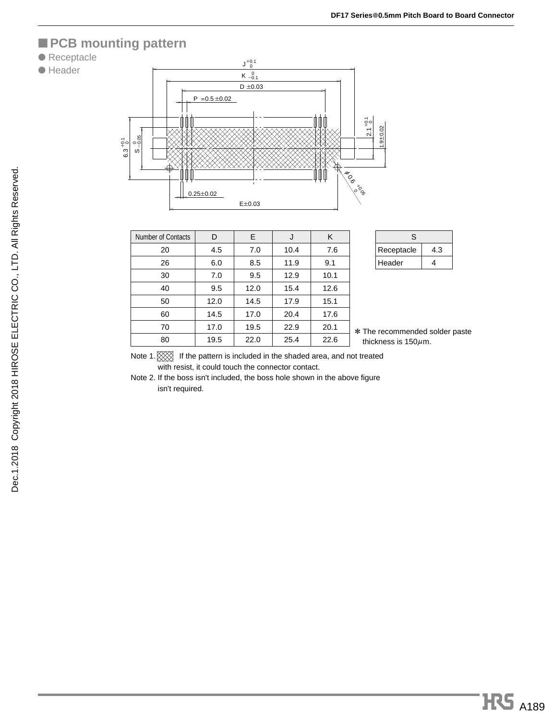### ■ **PCB** mounting pattern

#### ● Receptacle





| <b>Number of Contacts</b> | D    | E    | J    | K    |
|---------------------------|------|------|------|------|
| 20                        | 4.5  | 7.0  | 10.4 | 7.6  |
| 26                        | 6.0  | 8.5  | 11.9 | 9.1  |
| 30                        | 7.0  | 9.5  | 12.9 | 10.1 |
| 40                        | 9.5  | 12.0 | 15.4 | 12.6 |
| 50                        | 12.0 | 14.5 | 17.9 | 15.1 |
| 60                        | 14.5 | 17.0 | 20.4 | 17.6 |
| 70                        | 17.0 | 19.5 | 22.9 | 20.1 |
| 80                        | 19.5 | 22.0 | 25.4 | 22.6 |

| S.         |     |
|------------|-----|
| Receptacle | 4.3 |
| Header     | Δ   |

\* The recommended solder paste thickness is  $150 \mu$ m.

Note 1.  $\otimes$  If the pattern is included in the shaded area, and not treated with resist, it could touch the connector contact.

Note 2. If the boss isn't included, the boss hole shown in the above figure isn't required.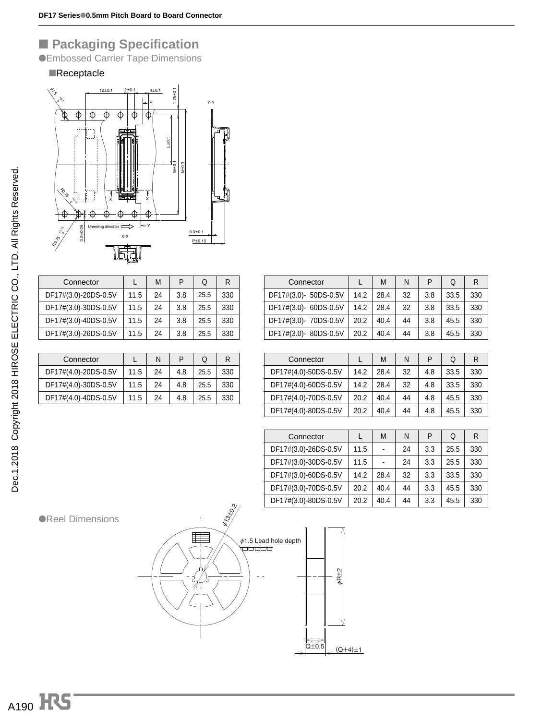## ■ **Packaging Specification**

●Embossed Carrier Tape Dimensions

#### ■Receptacle



|                      |      | M  | P   | Q    | R   |
|----------------------|------|----|-----|------|-----|
| Connector            |      |    |     |      |     |
| DF17#(3.0)-20DS-0.5V | 11.5 | 24 | 3.8 | 25.5 | 330 |
| DF17#(3.0)-30DS-0.5V | 11.5 | 24 | 3.8 | 25.5 | 330 |
| DF17#(3.0)-40DS-0.5V | 11.5 | 24 | 3.8 | 25.5 | 330 |
| DF17#(3.0)-26DS-0.5V | 11.5 | 24 | 3.8 | 25.5 | 330 |
|                      |      |    |     |      |     |

| Connector            |      | N  | P   | Q    | R   |
|----------------------|------|----|-----|------|-----|
| DF17#(4.0)-20DS-0.5V | 11.5 | 24 | 4.8 | 25.5 | 330 |
| DF17#(4.0)-30DS-0.5V | 11.5 | 24 | 4.8 | 25.5 | 330 |
| DF17#(4.0)-40DS-0.5V | 11.5 | 24 | 4.8 | 25.5 | 330 |
|                      |      |    |     |      |     |

| Connector             |      | М    | N  | P   | Q    | R   |
|-----------------------|------|------|----|-----|------|-----|
| DF17#(3.0)- 50DS-0.5V | 14.2 | 28.4 | 32 | 3.8 | 33.5 | 330 |
| DF17#(3.0)- 60DS-0.5V | 14.2 | 28.4 | 32 | 3.8 | 33.5 | 330 |
| DF17#(3.0)- 70DS-0.5V | 20.2 | 40.4 | 44 | 3.8 | 45.5 | 330 |
| DF17#(3.0)-80DS-0.5V  | 20.2 | 40.4 | 44 | 3.8 | 45.5 | 330 |
|                       |      |      |    |     |      |     |

| Connector            |      | М    | N  | P   | Q    | R   |
|----------------------|------|------|----|-----|------|-----|
| DF17#(4.0)-50DS-0.5V | 14.2 | 28.4 | 32 | 4.8 | 33.5 | 330 |
| DF17#(4.0)-60DS-0.5V | 14.2 | 28.4 | 32 | 4.8 | 33.5 | 330 |
| DF17#(4.0)-70DS-0.5V | 20.2 | 40.4 | 44 | 4.8 | 45.5 | 330 |
| DF17#(4.0)-80DS-0.5V | 20.2 | 40.4 | 44 | 4.8 | 45.5 | 330 |
|                      |      |      |    |     |      |     |

| Connector            |      | М              | N  | P   | Q    | R   |
|----------------------|------|----------------|----|-----|------|-----|
| DF17#(3.0)-26DS-0.5V | 11.5 | $\overline{a}$ | 24 | 3.3 | 25.5 | 330 |
| DF17#(3.0)-30DS-0.5V | 11.5 | $\overline{a}$ | 24 | 3.3 | 25.5 | 330 |
| DF17#(3.0)-60DS-0.5V | 14.2 | 28.4           | 32 | 3.3 | 33.5 | 330 |
| DF17#(3.0)-70DS-0.5V | 20.2 | 40.4           | 44 | 3.3 | 45.5 | 330 |
| DF17#(3.0)-80DS-0.5V | 20.2 | 40.4           | 44 | 3.3 | 45.5 | 330 |

●Reel Dimensions

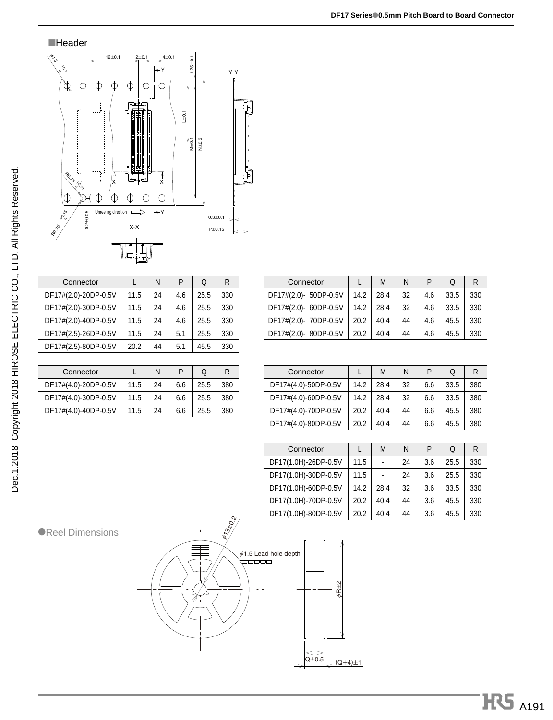

■Header

| Connector            |      | N  | P   | Q    | R   |
|----------------------|------|----|-----|------|-----|
| DF17#(2.0)-20DP-0.5V | 11.5 | 24 | 4.6 | 25.5 | 330 |
| DF17#(2.0)-30DP-0.5V | 11.5 | 24 | 4.6 | 25.5 | 330 |
| DF17#(2.0)-40DP-0.5V | 11.5 | 24 | 4.6 | 25.5 | 330 |
| DF17#(2.5)-26DP-0.5V | 11.5 | 24 | 5.1 | 25.5 | 330 |
| DF17#(2.5)-80DP-0.5V | 20.2 | 44 | 5.1 | 45.5 | 330 |

| Connector            |      | N  | P   | Q    | R   |
|----------------------|------|----|-----|------|-----|
| DF17#(4.0)-20DP-0.5V | 11.5 | 24 | 6.6 | 25.5 | 380 |
| DF17#(4.0)-30DP-0.5V | 11.5 | 24 | 6.6 | 25.5 | 380 |
| DF17#(4.0)-40DP-0.5V | 11.5 | 24 | 6.6 | 25.5 | 380 |

| Connector            |      | M    | N  | P   | Q    | R   |
|----------------------|------|------|----|-----|------|-----|
| DF17#(4.0)-50DP-0.5V | 14.2 | 28.4 | 32 | 6.6 | 33.5 | 380 |
| DF17#(4.0)-60DP-0.5V | 14.2 | 28.4 | 32 | 6.6 | 33.5 | 380 |
| DF17#(4.0)-70DP-0.5V | 20.2 | 40.4 | 44 | 6.6 | 45.5 | 380 |
| DF17#(4.0)-80DP-0.5V | 20.2 | 40.4 | 44 | 6.6 | 45.5 | 380 |

Connector LMNPQR DF17#(2.0)- 50DP-0.5V 14.2 28.4 32 4.6 33.5 330 DF17#(2.0)-60DP-0.5V 14.2 | 28.4 | 32 | 4.6 | 33.5 | 330 DF17#(2.0)-70DP-0.5V 20.2 40.4 44 4.6 45.5 330 DF17#(2.0)-80DP-0.5V 20.2 40.4 44 4.6 45.5 330

| Connector            |      | M              | N  | P   | Q    | R   |
|----------------------|------|----------------|----|-----|------|-----|
| DF17(1.0H)-26DP-0.5V | 11.5 | $\overline{a}$ | 24 | 3.6 | 25.5 | 330 |
| DF17(1.0H)-30DP-0.5V | 11.5 |                | 24 | 3.6 | 25.5 | 330 |
| DF17(1.0H)-60DP-0.5V | 14.2 | 28.4           | 32 | 3.6 | 33.5 | 330 |
| DF17(1.0H)-70DP-0.5V | 20.2 | 40.4           | 44 | 3.6 | 45.5 | 330 |
| DF17(1.0H)-80DP-0.5V | 20.2 | 40.4           | 44 | 3.6 | 45.5 | 330 |





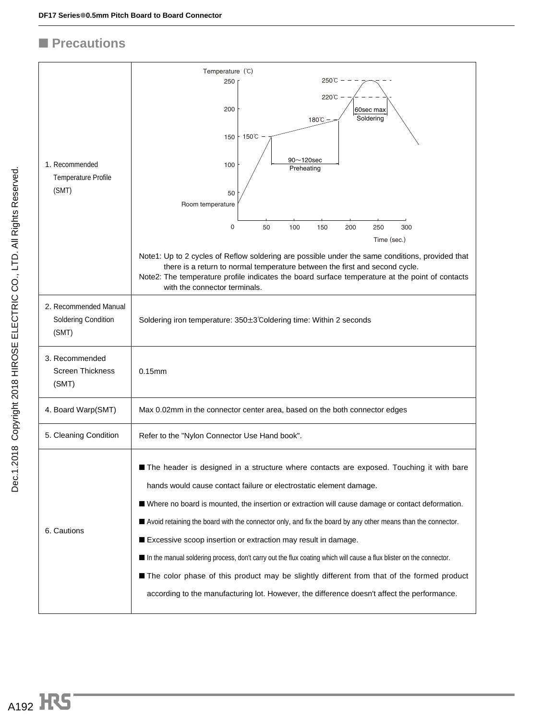### ■ **Precautions**

|                                                              | Temperature (°C)                                                                                                                                                                                                                                                                                                   |
|--------------------------------------------------------------|--------------------------------------------------------------------------------------------------------------------------------------------------------------------------------------------------------------------------------------------------------------------------------------------------------------------|
|                                                              | 250℃<br>250                                                                                                                                                                                                                                                                                                        |
|                                                              | 220℃<br>200<br>60sec max<br>Soldering<br>180℃                                                                                                                                                                                                                                                                      |
|                                                              | 150°C<br>150<br>$90 - 120$ sec                                                                                                                                                                                                                                                                                     |
| 1. Recommended                                               | 100<br>Preheating                                                                                                                                                                                                                                                                                                  |
| <b>Temperature Profile</b>                                   |                                                                                                                                                                                                                                                                                                                    |
| (SMT)                                                        | 50<br>Room temperature                                                                                                                                                                                                                                                                                             |
|                                                              | 0<br>50<br>100<br>150<br>250<br>300<br>200                                                                                                                                                                                                                                                                         |
|                                                              | Time (sec.)                                                                                                                                                                                                                                                                                                        |
|                                                              | Note1: Up to 2 cycles of Reflow soldering are possible under the same conditions, provided that<br>there is a return to normal temperature between the first and second cycle.<br>Note2: The temperature profile indicates the board surface temperature at the point of contacts<br>with the connector terminals. |
| 2. Recommended Manual<br><b>Soldering Condition</b><br>(SMT) | Soldering iron temperature: 350±3°Coldering time: Within 2 seconds                                                                                                                                                                                                                                                 |
| 3. Recommended<br><b>Screen Thickness</b><br>(SMT)           | $0.15$ mm                                                                                                                                                                                                                                                                                                          |
| 4. Board Warp(SMT)                                           | Max 0.02mm in the connector center area, based on the both connector edges                                                                                                                                                                                                                                         |
| 5. Cleaning Condition                                        | Refer to the "Nylon Connector Use Hand book".                                                                                                                                                                                                                                                                      |
|                                                              | The header is designed in a structure where contacts are exposed. Touching it with bare                                                                                                                                                                                                                            |
|                                                              | hands would cause contact failure or electrostatic element damage.                                                                                                                                                                                                                                                 |
|                                                              | ■ Where no board is mounted, the insertion or extraction will cause damage or contact deformation.                                                                                                                                                                                                                 |
|                                                              | Avoid retaining the board with the connector only, and fix the board by any other means than the connector.                                                                                                                                                                                                        |
| 6. Cautions                                                  | Excessive scoop insertion or extraction may result in damage.                                                                                                                                                                                                                                                      |
|                                                              | In the manual soldering process, don't carry out the flux coating which will cause a flux blister on the connector.                                                                                                                                                                                                |
|                                                              | The color phase of this product may be slightly different from that of the formed product                                                                                                                                                                                                                          |
|                                                              | according to the manufacturing lot. However, the difference doesn't affect the performance.                                                                                                                                                                                                                        |
|                                                              |                                                                                                                                                                                                                                                                                                                    |